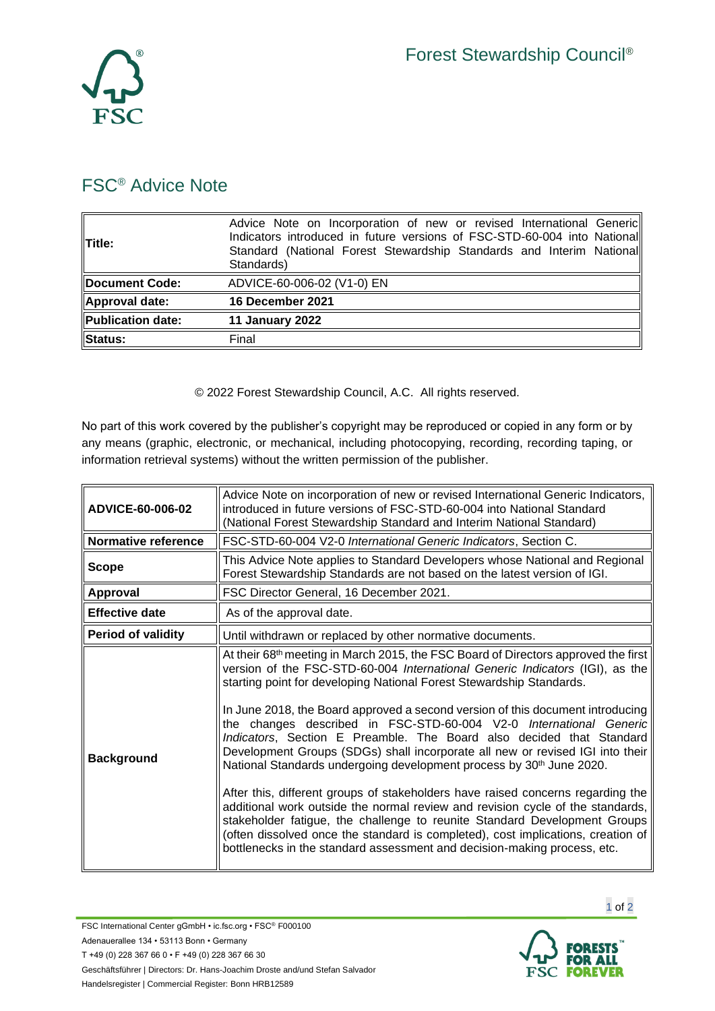

## FSC® Advice Note

| <b>Title:</b>     | Advice Note on Incorporation of new or revised International Generic<br>Indicators introduced in future versions of FSC-STD-60-004 into National<br>Standard (National Forest Stewardship Standards and Interim National<br>Standards) |
|-------------------|----------------------------------------------------------------------------------------------------------------------------------------------------------------------------------------------------------------------------------------|
| Document Code:    | ADVICE-60-006-02 (V1-0) EN                                                                                                                                                                                                             |
| Approval date:    | 16 December 2021                                                                                                                                                                                                                       |
| Publication date: | 11 January 2022                                                                                                                                                                                                                        |
| Status:           | Final                                                                                                                                                                                                                                  |

© 2022 Forest Stewardship Council, A.C. All rights reserved.

No part of this work covered by the publisher's copyright may be reproduced or copied in any form or by any means (graphic, electronic, or mechanical, including photocopying, recording, recording taping, or information retrieval systems) without the written permission of the publisher.

| ADVICE-60-006-02          | Advice Note on incorporation of new or revised International Generic Indicators,<br>introduced in future versions of FSC-STD-60-004 into National Standard<br>(National Forest Stewardship Standard and Interim National Standard)                                                                                                                                                                                                                                                                                                                                                                                                                                                                                                                                                                                                                                                                                                                                                                                                                                            |
|---------------------------|-------------------------------------------------------------------------------------------------------------------------------------------------------------------------------------------------------------------------------------------------------------------------------------------------------------------------------------------------------------------------------------------------------------------------------------------------------------------------------------------------------------------------------------------------------------------------------------------------------------------------------------------------------------------------------------------------------------------------------------------------------------------------------------------------------------------------------------------------------------------------------------------------------------------------------------------------------------------------------------------------------------------------------------------------------------------------------|
| Normative reference       | FSC-STD-60-004 V2-0 International Generic Indicators, Section C.                                                                                                                                                                                                                                                                                                                                                                                                                                                                                                                                                                                                                                                                                                                                                                                                                                                                                                                                                                                                              |
| Scope                     | This Advice Note applies to Standard Developers whose National and Regional<br>Forest Stewardship Standards are not based on the latest version of IGI.                                                                                                                                                                                                                                                                                                                                                                                                                                                                                                                                                                                                                                                                                                                                                                                                                                                                                                                       |
| <b>Approval</b>           | FSC Director General, 16 December 2021.                                                                                                                                                                                                                                                                                                                                                                                                                                                                                                                                                                                                                                                                                                                                                                                                                                                                                                                                                                                                                                       |
| <b>Effective date</b>     | As of the approval date.                                                                                                                                                                                                                                                                                                                                                                                                                                                                                                                                                                                                                                                                                                                                                                                                                                                                                                                                                                                                                                                      |
| <b>Period of validity</b> | Until withdrawn or replaced by other normative documents.                                                                                                                                                                                                                                                                                                                                                                                                                                                                                                                                                                                                                                                                                                                                                                                                                                                                                                                                                                                                                     |
| <b>Background</b>         | At their 68 <sup>th</sup> meeting in March 2015, the FSC Board of Directors approved the first<br>version of the FSC-STD-60-004 International Generic Indicators (IGI), as the<br>starting point for developing National Forest Stewardship Standards.<br>In June 2018, the Board approved a second version of this document introducing<br>the changes described in FSC-STD-60-004 V2-0 International Generic<br>Indicators, Section E Preamble. The Board also decided that Standard<br>Development Groups (SDGs) shall incorporate all new or revised IGI into their<br>National Standards undergoing development process by 30 <sup>th</sup> June 2020.<br>After this, different groups of stakeholders have raised concerns regarding the<br>additional work outside the normal review and revision cycle of the standards,<br>stakeholder fatigue, the challenge to reunite Standard Development Groups<br>(often dissolved once the standard is completed), cost implications, creation of<br>bottlenecks in the standard assessment and decision-making process, etc. |